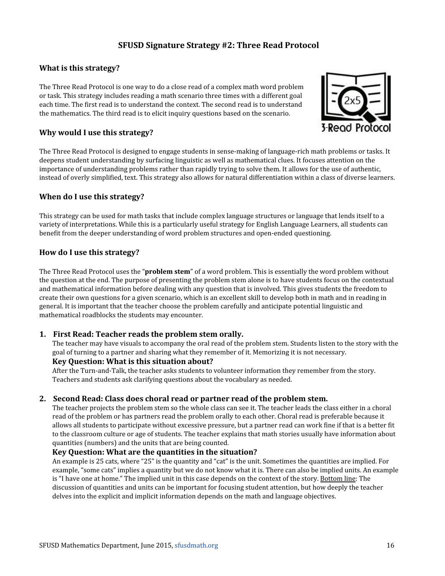# **SFUSD Signature Strategy #2: Three Read Protocol**

## **What is this strategy?**

The Three Read Protocol is one way to do a close read of a complex math word problem or task. This strategy includes reading a math scenario three times with a different goal each time. The first read is to understand the context. The second read is to understand the mathematics. The third read is to elicit inquiry questions based on the scenario.



## **Why would I use this strategy?**

The Three Read Protocol is designed to engage students in sense-making of language-rich math problems or tasks. It deepens student understanding by surfacing linguistic as well as mathematical clues. It focuses attention on the importance of understanding problems rather than rapidly trying to solve them. It allows for the use of authentic, instead of overly simplified, text. This strategy also allows for natural differentiation within a class of diverse learners.

## **When do I use this strategy?**

This strategy can be used for math tasks that include complex language structures or language that lends itself to a variety of interpretations. While this is a particularly useful strategy for English Language Learners, all students can benefit from the deeper understanding of word problem structures and open-ended questioning.

## **How do I use this strategy?**

The Three Read Protocol uses the "**problem stem**" of a word problem. This is essentially the word problem without the question at the end. The purpose of presenting the problem stem alone is to have students focus on the contextual and mathematical information before dealing with any question that is involved. This gives students the freedom to create their own questions for a given scenario, which is an excellent skill to develop both in math and in reading in general. It is important that the teacher choose the problem carefully and anticipate potential linguistic and mathematical roadblocks the students may encounter.

## **1. First Read: Teacher reads the problem stem orally.**

The teacher may have visuals to accompany the oral read of the problem stem. Students listen to the story with the goal of turning to a partner and sharing what they remember of it. Memorizing it is not necessary.

## **Key Question: What is this situation about?**

After the Turn-and-Talk, the teacher asks students to volunteer information they remember from the story. Teachers and students ask clarifying questions about the vocabulary as needed.

## **2. Second Read: Class does choral read or partner read of the problem stem.**

The teacher projects the problem stem so the whole class can see it. The teacher leads the class either in a choral read of the problem or has partners read the problem orally to each other. Choral read is preferable because it allows all students to participate without excessive pressure, but a partner read can work fine if that is a better fit to the classroom culture or age of students. The teacher explains that math stories usually have information about quantities (numbers) and the units that are being counted.

## **Key Question: What are the quantities in the situation?**

An example is 25 cats, where "25" is the quantity and "cat" is the unit. Sometimes the quantities are implied. For example, "some cats" implies a quantity but we do not know what it is. There can also be implied units. An example is "I have one at home." The implied unit in this case depends on the context of the story. Bottom line: The discussion of quantities and units can be important for focusing student attention, but how deeply the teacher delves into the explicit and implicit information depends on the math and language objectives.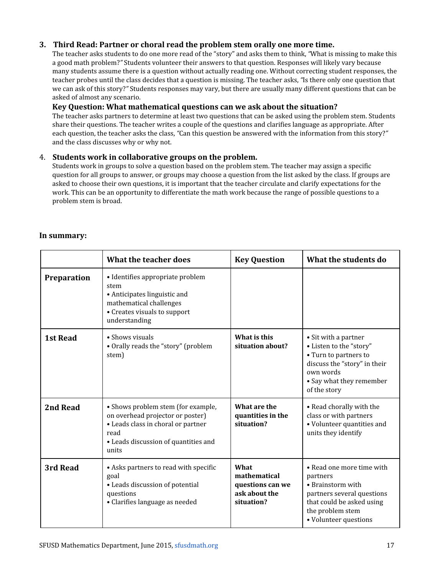## **3. Third Read: Partner or choral read the problem stem orally one more time.**

The teacher asks students to do one more read of the "story" and asks them to think, *"*What is missing to make this a good math problem?*"* Students volunteer their answers to that question. Responses will likely vary because many students assume there is a question without actually reading one. Without correcting student responses, the teacher probes until the class decides that a question is missing. The teacher asks, *"*Is there only one question that we can ask of this story?*"* Students responses may vary, but there are usually many different questions that can be asked of almost any scenario.

## **Key Question: What mathematical questions can we ask about the situation?**

The teacher asks partners to determine at least two questions that can be asked using the problem stem. Students share their questions. The teacher writes a couple of the questions and clarifies language as appropriate. After each question, the teacher asks the class, *"*Can this question be answered with the information from this story?*"* and the class discusses why or why not.

### 4. **Students work in collaborative groups on the problem.**

Students work in groups to solve a question based on the problem stem. The teacher may assign a specific question for all groups to answer, or groups may choose a question from the list asked by the class. If groups are asked to choose their own questions, it is important that the teacher circulate and clarify expectations for the work. This can be an opportunity to differentiate the math work because the range of possible questions to a problem stem is broad.

### **In summary:**

|                 | What the teacher does                                                                                                                                                 | <b>Key Question</b>                                                     | What the students do                                                                                                                                               |
|-----------------|-----------------------------------------------------------------------------------------------------------------------------------------------------------------------|-------------------------------------------------------------------------|--------------------------------------------------------------------------------------------------------------------------------------------------------------------|
| Preparation     | • Identifies appropriate problem<br>stem<br>• Anticipates linguistic and<br>mathematical challenges<br>• Creates visuals to support<br>understanding                  |                                                                         |                                                                                                                                                                    |
| <b>1st Read</b> | • Shows visuals<br>• Orally reads the "story" (problem<br>stem)                                                                                                       | What is this<br>situation about?                                        | • Sit with a partner<br>• Listen to the "story"<br>• Turn to partners to<br>discuss the "story" in their<br>own words<br>• Say what they remember<br>of the story  |
| 2nd Read        | • Shows problem stem (for example,<br>on overhead projector or poster)<br>• Leads class in choral or partner<br>read<br>• Leads discussion of quantities and<br>units | What are the<br>quantities in the<br>situation?                         | • Read chorally with the<br>class or with partners<br>• Volunteer quantities and<br>units they identify                                                            |
| 3rd Read        | • Asks partners to read with specific<br>goal<br>• Leads discussion of potential<br>questions<br>• Clarifies language as needed                                       | What<br>mathematical<br>questions can we<br>ask about the<br>situation? | • Read one more time with<br>partners<br>• Brainstorm with<br>partners several questions<br>that could be asked using<br>the problem stem<br>• Volunteer questions |